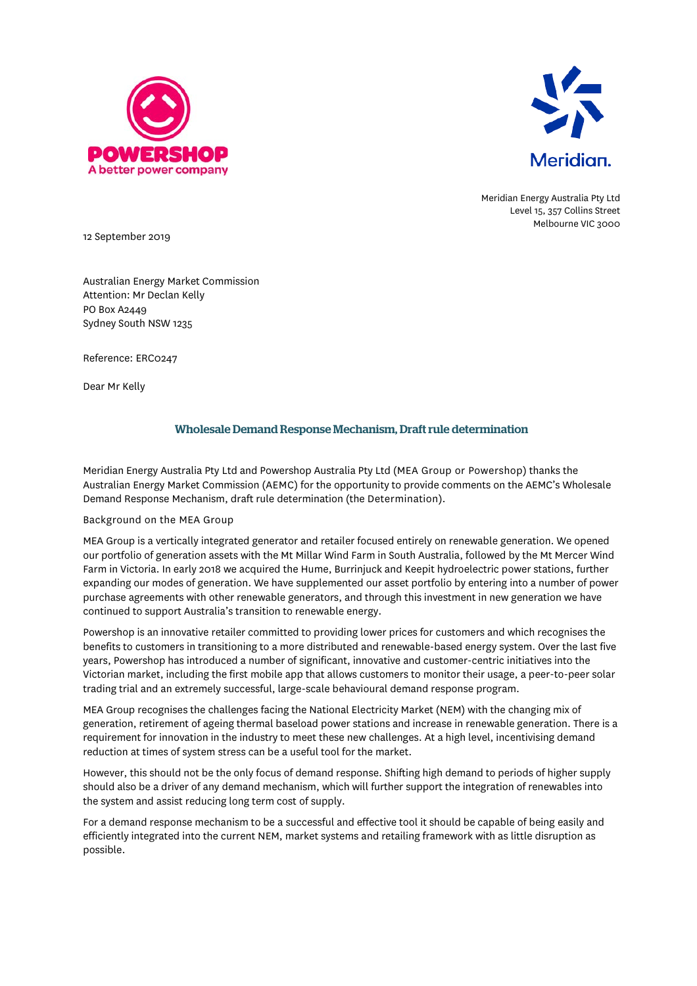



Meridian Energy Australia Pty Ltd Level 15, 357 Collins Street Melbourne VIC 3000

12 September 2019

Australian Energy Market Commission Attention: Mr Declan Kelly PO Box A2449 Sydney South NSW 1235

Reference: ERC0247

Dear Mr Kelly

# Wholesale Demand Response Mechanism, Draft rule determination

Meridian Energy Australia Pty Ltd and Powershop Australia Pty Ltd (MEA Group or Powershop) thanks the Australian Energy Market Commission (AEMC) for the opportunity to provide comments on the AEMC's Wholesale Demand Response Mechanism, draft rule determination (the Determination).

## Background on the MEA Group

MEA Group is a vertically integrated generator and retailer focused entirely on renewable generation. We opened our portfolio of generation assets with the Mt Millar Wind Farm in South Australia, followed by the Mt Mercer Wind Farm in Victoria. In early 2018 we acquired the Hume, Burrinjuck and Keepit hydroelectric power stations, further expanding our modes of generation. We have supplemented our asset portfolio by entering into a number of power purchase agreements with other renewable generators, and through this investment in new generation we have continued to support Australia's transition to renewable energy.

Powershop is an innovative retailer committed to providing lower prices for customers and which recognises the benefits to customers in transitioning to a more distributed and renewable-based energy system. Over the last five years, Powershop has introduced a number of significant, innovative and customer-centric initiatives into the Victorian market, including the first mobile app that allows customers to monitor their usage, a peer-to-peer solar trading trial and an extremely successful, large-scale behavioural demand response program.

MEA Group recognises the challenges facing the National Electricity Market (NEM) with the changing mix of generation, retirement of ageing thermal baseload power stations and increase in renewable generation. There is a requirement for innovation in the industry to meet these new challenges. At a high level, incentivising demand reduction at times of system stress can be a useful tool for the market.

However, this should not be the only focus of demand response. Shifting high demand to periods of higher supply should also be a driver of any demand mechanism, which will further support the integration of renewables into the system and assist reducing long term cost of supply.

For a demand response mechanism to be a successful and effective tool it should be capable of being easily and efficiently integrated into the current NEM, market systems and retailing framework with as little disruption as possible.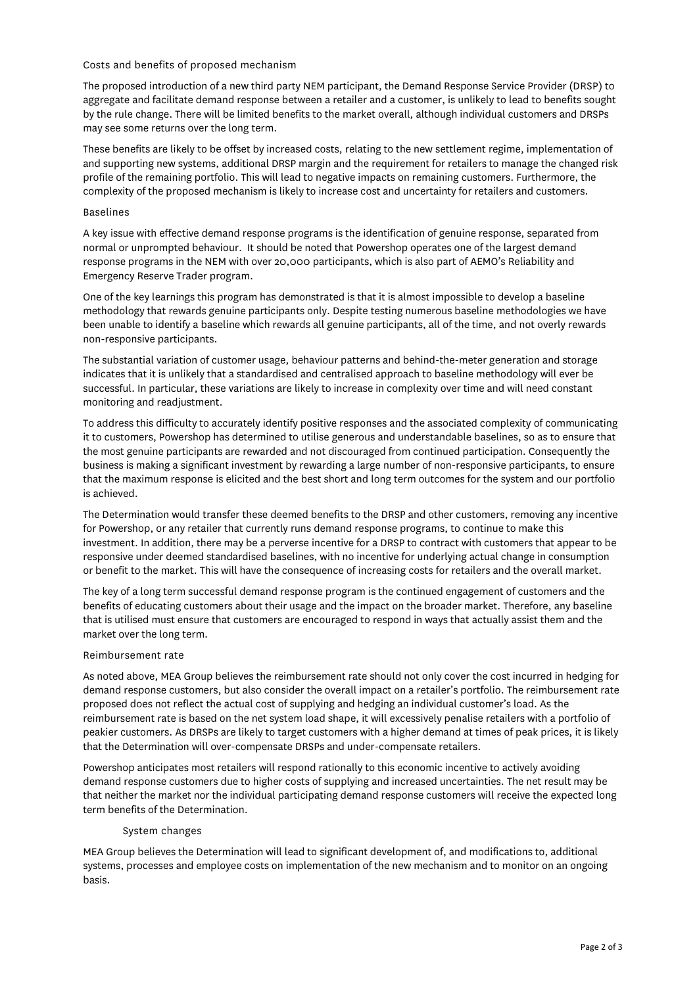#### Costs and benefits of proposed mechanism

The proposed introduction of a new third party NEM participant, the Demand Response Service Provider (DRSP) to aggregate and facilitate demand response between a retailer and a customer, is unlikely to lead to benefits sought by the rule change. There will be limited benefits to the market overall, although individual customers and DRSPs may see some returns over the long term.

These benefits are likely to be offset by increased costs, relating to the new settlement regime, implementation of and supporting new systems, additional DRSP margin and the requirement for retailers to manage the changed risk profile of the remaining portfolio. This will lead to negative impacts on remaining customers. Furthermore, the complexity of the proposed mechanism is likely to increase cost and uncertainty for retailers and customers.

### Baselines

A key issue with effective demand response programs is the identification of genuine response, separated from normal or unprompted behaviour. It should be noted that Powershop operates one of the largest demand response programs in the NEM with over 20,000 participants, which is also part of AEMO's Reliability and Emergency Reserve Trader program.

One of the key learnings this program has demonstrated is that it is almost impossible to develop a baseline methodology that rewards genuine participants only. Despite testing numerous baseline methodologies we have been unable to identify a baseline which rewards all genuine participants, all of the time, and not overly rewards non-responsive participants.

The substantial variation of customer usage, behaviour patterns and behind-the-meter generation and storage indicates that it is unlikely that a standardised and centralised approach to baseline methodology will ever be successful. In particular, these variations are likely to increase in complexity over time and will need constant monitoring and readjustment.

To address this difficulty to accurately identify positive responses and the associated complexity of communicating it to customers, Powershop has determined to utilise generous and understandable baselines, so as to ensure that the most genuine participants are rewarded and not discouraged from continued participation. Consequently the business is making a significant investment by rewarding a large number of non-responsive participants, to ensure that the maximum response is elicited and the best short and long term outcomes for the system and our portfolio is achieved.

The Determination would transfer these deemed benefits to the DRSP and other customers, removing any incentive for Powershop, or any retailer that currently runs demand response programs, to continue to make this investment. In addition, there may be a perverse incentive for a DRSP to contract with customers that appear to be responsive under deemed standardised baselines, with no incentive for underlying actual change in consumption or benefit to the market. This will have the consequence of increasing costs for retailers and the overall market.

The key of a long term successful demand response program is the continued engagement of customers and the benefits of educating customers about their usage and the impact on the broader market. Therefore, any baseline that is utilised must ensure that customers are encouraged to respond in ways that actually assist them and the market over the long term.

## Reimbursement rate

As noted above, MEA Group believes the reimbursement rate should not only cover the cost incurred in hedging for demand response customers, but also consider the overall impact on a retailer's portfolio. The reimbursement rate proposed does not reflect the actual cost of supplying and hedging an individual customer's load. As the reimbursement rate is based on the net system load shape, it will excessively penalise retailers with a portfolio of peakier customers. As DRSPs are likely to target customers with a higher demand at times of peak prices, it is likely that the Determination will over-compensate DRSPs and under-compensate retailers.

Powershop anticipates most retailers will respond rationally to this economic incentive to actively avoiding demand response customers due to higher costs of supplying and increased uncertainties. The net result may be that neither the market nor the individual participating demand response customers will receive the expected long term benefits of the Determination.

## System changes

MEA Group believes the Determination will lead to significant development of, and modifications to, additional systems, processes and employee costs on implementation of the new mechanism and to monitor on an ongoing basis.